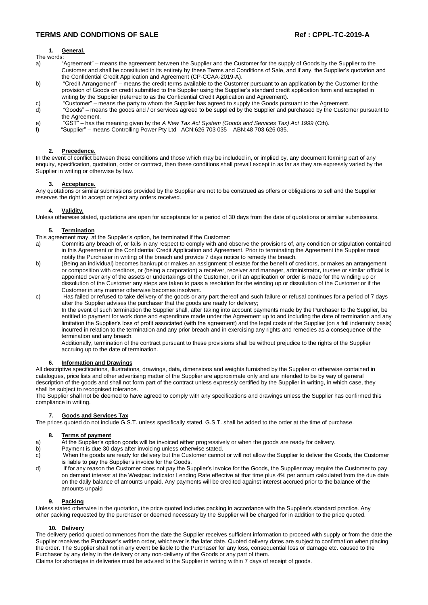# **TERMS AND CONDITIONS OF SALE Ref : CPPL-TC-2019-A**

# **1. General.**

- The words:
- a) "Agreement" means the agreement between the Supplier and the Customer for the supply of Goods by the Supplier to the Customer and shall be constituted in its entirety by these Terms and Conditions of Sale, and if any, the Supplier's quotation and the Confidential Credit Application and Agreement (CP-CCAA-2019-A).
- b) "Credit Arrangement" means the credit terms available to the Customer pursuant to an application by the Customer for the provision of Goods on credit submitted to the Supplier using the Supplier's standard credit application form and accepted in writing by the Supplier (referred to as the Confidential Credit Application and Agreement).
- c) "Customer" means the party to whom the Supplier has agreed to supply the Goods pursuant to the Agreement.
- d) "Goods" means the goods and / or services agreed to be supplied by the Supplier and purchased by the Customer pursuant to the Agreement.
- e) "GST" has the meaning given by the *A New Tax Act System (Goods and Services Tax) Act 1999* (Cth).
- f) "Supplier" means Controlling Power Pty Ltd ACN:626 703 035 ABN:48 703 626 035.

## **2. Precedence.**

In the event of conflict between these conditions and those which may be included in, or implied by, any document forming part of any enquiry, specification, quotation, order or contract, then these conditions shall prevail except in as far as they are expressly varied by the Supplier in writing or otherwise by law.

# **3. Acceptance.**

Any quotations or similar submissions provided by the Supplier are not to be construed as offers or obligations to sell and the Supplier reserves the right to accept or reject any orders received.

## **4. Validity.**

Unless otherwise stated, quotations are open for acceptance for a period of 30 days from the date of quotations or similar submissions.

## **5. Termination**

This agreement may, at the Supplier's option, be terminated if the Customer:

- a) Commits any breach of, or fails in any respect to comply with and observe the provisions of, any condition or stipulation contained in this Agreement or the Confidential Credit Application and Agreement. Prior to terminating the Agreement the Supplier must notify the Purchaser in writing of the breach and provide 7 days notice to remedy the breach.
- b) (Being an individual) becomes bankrupt or makes an assignment of estate for the benefit of creditors, or makes an arrangement or composition with creditors, or (being a corporation) a receiver, receiver and manager, administrator, trustee or similar official is appointed over any of the assets or undertakings of the Customer, or if an application or order is made for the winding up or dissolution of the Customer any steps are taken to pass a resolution for the winding up or dissolution of the Customer or if the Customer in any manner otherwise becomes insolvent.
- c) Has failed or refused to take delivery of the goods or any part thereof and such failure or refusal continues for a period of 7 days after the Supplier advises the purchaser that the goods are ready for delivery;

In the event of such termination the Supplier shall, after taking into account payments made by the Purchaser to the Supplier, be entitled to payment for work done and expenditure made under the Agreement up to and including the date of termination and any limitation the Supplier's loss of profit associated (with the agreement) and the legal costs of the Supplier (on a full indemnity basis) incurred in relation to the termination and any prior breach and in exercising any rights and remedies as a consequence of the termination and any breach.

Additionally, termination of the contract pursuant to these provisions shall be without prejudice to the rights of the Supplier accruing up to the date of termination.

# **Information and Drawings**

All descriptive specifications, illustrations, drawings, data, dimensions and weights furnished by the Supplier or otherwise contained in catalogues, price lists and other advertising matter of the Supplier are approximate only and are intended to be by way of general description of the goods and shall not form part of the contract unless expressly certified by the Supplier in writing, in which case, they shall be subject to recognised tolerance.

The Supplier shall not be deemed to have agreed to comply with any specifications and drawings unless the Supplier has confirmed this compliance in writing.

#### **7. Goods and Services Tax**

The prices quoted do not include G.S.T. unless specifically stated. G.S.T. shall be added to the order at the time of purchase.

# **8. Terms of payment**

- a) At the Supplier's option goods will be invoiced either progressively or when the goods are ready for delivery.
- b) Payment is due 30 days after invoicing unless otherwise stated.
- c) When the goods are ready for delivery but the Customer cannot or will not allow the Supplier to deliver the Goods, the Customer is liable to pay the Supplier's invoice for the Goods.
- d) If for any reason the Customer does not pay the Supplier's invoice for the Goods, the Supplier may require the Customer to pay on demand interest at the Westpac Indicator Lending Rate effective at that time plus 4% per annum calculated from the due date on the daily balance of amounts unpaid. Any payments will be credited against interest accrued prior to the balance of the amounts unpaid

# **9. Packing**

Unless stated otherwise in the quotation, the price quoted includes packing in accordance with the Supplier's standard practice. Any other packing requested by the purchaser or deemed necessary by the Supplier will be charged for in addition to the price quoted.

# **10. Delivery**

The delivery period quoted commences from the date the Supplier receives sufficient information to proceed with supply or from the date the Supplier receives the Purchaser's written order, whichever is the later date. Quoted delivery dates are subject to confirmation when placing the order. The Supplier shall not in any event be liable to the Purchaser for any loss, consequential loss or damage etc. caused to the Purchaser by any delay in the delivery or any non-delivery of the Goods or any part of them.

Claims for shortages in deliveries must be advised to the Supplier in writing within 7 days of receipt of goods.